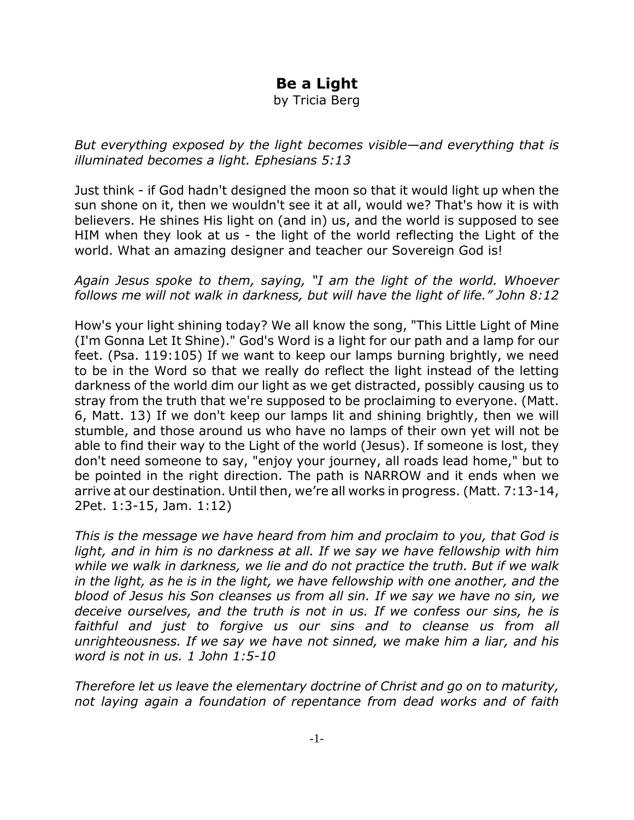## **Be a Light**

by Tricia Berg

*But everything exposed by the light becomes visible—and everything that is illuminated becomes a light. Ephesians 5:13*

Just think - if God hadn't designed the moon so that it would light up when the sun shone on it, then we wouldn't see it at all, would we? That's how it is with believers. He shines His light on (and in) us, and the world is supposed to see HIM when they look at us - the light of the world reflecting the Light of the world. What an amazing designer and teacher our Sovereign God is!

## *Again Jesus spoke to them, saying, "I am the light of the world. Whoever follows me will not walk in darkness, but will have the light of life." John 8:12*

How's your light shining today? We all know the song, "This Little Light of Mine (I'm Gonna Let It Shine)." God's Word is a light for our path and a lamp for our feet. (Psa. 119:105) If we want to keep our lamps burning brightly, we need to be in the Word so that we really do reflect the light instead of the letting darkness of the world dim our light as we get distracted, possibly causing us to stray from the truth that we're supposed to be proclaiming to everyone. (Matt. 6, Matt. 13) If we don't keep our lamps lit and shining brightly, then we will stumble, and those around us who have no lamps of their own yet will not be able to find their way to the Light of the world (Jesus). If someone is lost, they don't need someone to say, "enjoy your journey, all roads lead home," but to be pointed in the right direction. The path is NARROW and it ends when we arrive at our destination. Until then, we're all works in progress. (Matt. 7:13-14, 2Pet. 1:3-15, Jam. 1:12)

*This is the message we have heard from him and proclaim to you, that God is light, and in him is no darkness at all. If we say we have fellowship with him while we walk in darkness, we lie and do not practice the truth. But if we walk in the light, as he is in the light, we have fellowship with one another, and the blood of Jesus his Son cleanses us from all sin. If we say we have no sin, we deceive ourselves, and the truth is not in us. If we confess our sins, he is faithful and just to forgive us our sins and to cleanse us from all unrighteousness. If we say we have not sinned, we make him a liar, and his word is not in us. 1 John 1:5-10*

*Therefore let us leave the elementary doctrine of Christ and go on to maturity, not laying again a foundation of repentance from dead works and of faith*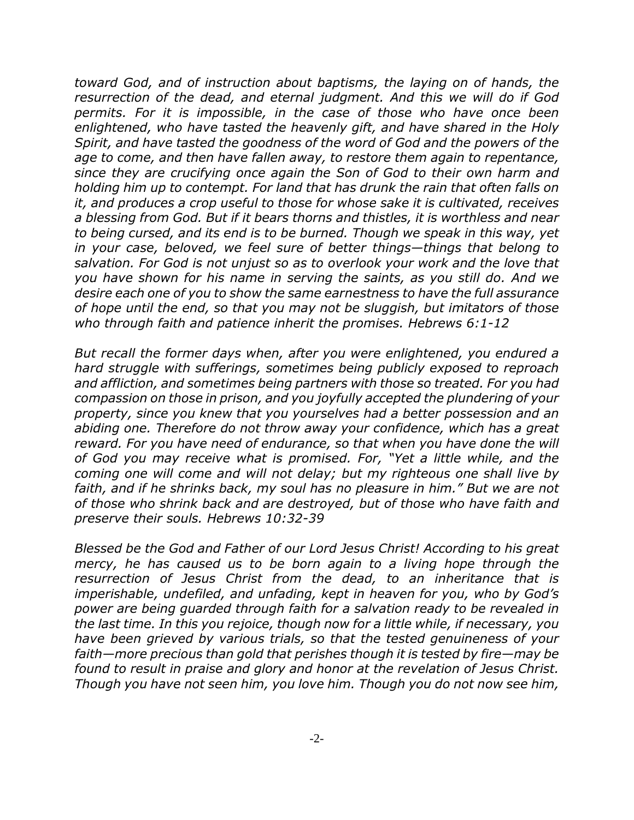*toward God, and of instruction about baptisms, the laying on of hands, the resurrection of the dead, and eternal judgment. And this we will do if God permits. For it is impossible, in the case of those who have once been enlightened, who have tasted the heavenly gift, and have shared in the Holy Spirit, and have tasted the goodness of the word of God and the powers of the age to come, and then have fallen away, to restore them again to repentance, since they are crucifying once again the Son of God to their own harm and holding him up to contempt. For land that has drunk the rain that often falls on it, and produces a crop useful to those for whose sake it is cultivated, receives a blessing from God. But if it bears thorns and thistles, it is worthless and near to being cursed, and its end is to be burned. Though we speak in this way, yet in your case, beloved, we feel sure of better things—things that belong to salvation. For God is not unjust so as to overlook your work and the love that you have shown for his name in serving the saints, as you still do. And we desire each one of you to show the same earnestness to have the full assurance of hope until the end, so that you may not be sluggish, but imitators of those who through faith and patience inherit the promises. Hebrews 6:1-12*

*But recall the former days when, after you were enlightened, you endured a hard struggle with sufferings, sometimes being publicly exposed to reproach and affliction, and sometimes being partners with those so treated. For you had compassion on those in prison, and you joyfully accepted the plundering of your property, since you knew that you yourselves had a better possession and an abiding one. Therefore do not throw away your confidence, which has a great reward. For you have need of endurance, so that when you have done the will of God you may receive what is promised. For, "Yet a little while, and the coming one will come and will not delay; but my righteous one shall live by faith, and if he shrinks back, my soul has no pleasure in him." But we are not of those who shrink back and are destroyed, but of those who have faith and preserve their souls. Hebrews 10:32-39*

*Blessed be the God and Father of our Lord Jesus Christ! According to his great mercy, he has caused us to be born again to a living hope through the resurrection of Jesus Christ from the dead, to an inheritance that is imperishable, undefiled, and unfading, kept in heaven for you, who by God's power are being guarded through faith for a salvation ready to be revealed in the last time. In this you rejoice, though now for a little while, if necessary, you have been grieved by various trials, so that the tested genuineness of your faith—more precious than gold that perishes though it is tested by fire—may be found to result in praise and glory and honor at the revelation of Jesus Christ. Though you have not seen him, you love him. Though you do not now see him,*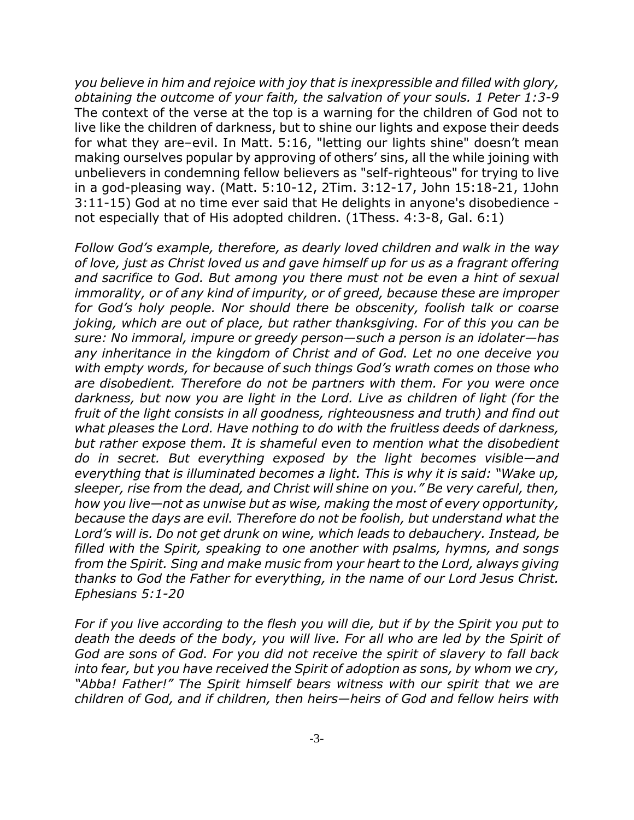*you believe in him and rejoice with joy that is inexpressible and filled with glory, obtaining the outcome of your faith, the salvation of your souls. 1 Peter 1:3-9* The context of the verse at the top is a warning for the children of God not to live like the children of darkness, but to shine our lights and expose their deeds for what they are–evil. In Matt. 5:16, "letting our lights shine" doesn't mean making ourselves popular by approving of others' sins, all the while joining with unbelievers in condemning fellow believers as "self-righteous" for trying to live in a god-pleasing way. (Matt. 5:10-12, 2Tim. 3:12-17, John 15:18-21, 1John 3:11-15) God at no time ever said that He delights in anyone's disobedience not especially that of His adopted children. (1Thess. 4:3-8, Gal. 6:1)

*Follow God's example, therefore, as dearly loved children and walk in the way of love, just as Christ loved us and gave himself up for us as a fragrant offering and sacrifice to God. But among you there must not be even a hint of sexual immorality, or of any kind of impurity, or of greed, because these are improper for God's holy people. Nor should there be obscenity, foolish talk or coarse joking, which are out of place, but rather thanksgiving. For of this you can be sure: No immoral, impure or greedy person—such a person is an idolater—has any inheritance in the kingdom of Christ and of God. Let no one deceive you with empty words, for because of such things God's wrath comes on those who are disobedient. Therefore do not be partners with them. For you were once darkness, but now you are light in the Lord. Live as children of light (for the fruit of the light consists in all goodness, righteousness and truth) and find out what pleases the Lord. Have nothing to do with the fruitless deeds of darkness, but rather expose them. It is shameful even to mention what the disobedient do in secret. But everything exposed by the light becomes visible—and everything that is illuminated becomes a light. This is why it is said: "Wake up, sleeper, rise from the dead, and Christ will shine on you." Be very careful, then, how you live—not as unwise but as wise, making the most of every opportunity, because the days are evil. Therefore do not be foolish, but understand what the Lord's will is. Do not get drunk on wine, which leads to debauchery. Instead, be filled with the Spirit, speaking to one another with psalms, hymns, and songs from the Spirit. Sing and make music from your heart to the Lord, always giving thanks to God the Father for everything, in the name of our Lord Jesus Christ. Ephesians 5:1-20*

*For if you live according to the flesh you will die, but if by the Spirit you put to death the deeds of the body, you will live. For all who are led by the Spirit of God are sons of God. For you did not receive the spirit of slavery to fall back into fear, but you have received the Spirit of adoption as sons, by whom we cry, "Abba! Father!" The Spirit himself bears witness with our spirit that we are children of God, and if children, then heirs—heirs of God and fellow heirs with*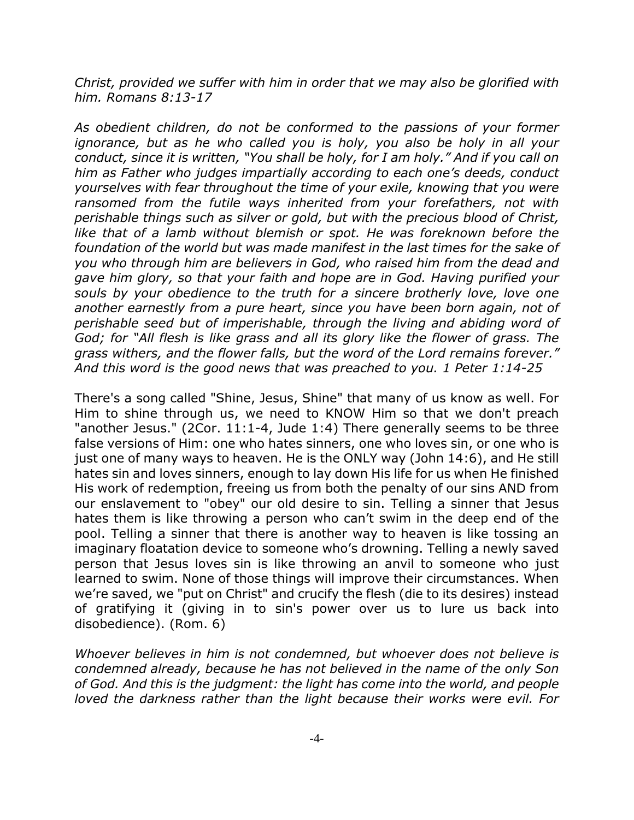*Christ, provided we suffer with him in order that we may also be glorified with him. Romans 8:13-17*

*As obedient children, do not be conformed to the passions of your former ignorance, but as he who called you is holy, you also be holy in all your conduct, since it is written, "You shall be holy, for I am holy." And if you call on him as Father who judges impartially according to each one's deeds, conduct yourselves with fear throughout the time of your exile, knowing that you were ransomed from the futile ways inherited from your forefathers, not with perishable things such as silver or gold, but with the precious blood of Christ, like that of a lamb without blemish or spot. He was foreknown before the foundation of the world but was made manifest in the last times for the sake of you who through him are believers in God, who raised him from the dead and gave him glory, so that your faith and hope are in God. Having purified your souls by your obedience to the truth for a sincere brotherly love, love one another earnestly from a pure heart, since you have been born again, not of perishable seed but of imperishable, through the living and abiding word of God; for "All flesh is like grass and all its glory like the flower of grass. The grass withers, and the flower falls, but the word of the Lord remains forever." And this word is the good news that was preached to you. 1 Peter 1:14-25*

There's a song called "Shine, Jesus, Shine" that many of us know as well. For Him to shine through us, we need to KNOW Him so that we don't preach "another Jesus." (2Cor. 11:1-4, Jude 1:4) There generally seems to be three false versions of Him: one who hates sinners, one who loves sin, or one who is just one of many ways to heaven. He is the ONLY way (John 14:6), and He still hates sin and loves sinners, enough to lay down His life for us when He finished His work of redemption, freeing us from both the penalty of our sins AND from our enslavement to "obey" our old desire to sin. Telling a sinner that Jesus hates them is like throwing a person who can't swim in the deep end of the pool. Telling a sinner that there is another way to heaven is like tossing an imaginary floatation device to someone who's drowning. Telling a newly saved person that Jesus loves sin is like throwing an anvil to someone who just learned to swim. None of those things will improve their circumstances. When we're saved, we "put on Christ" and crucify the flesh (die to its desires) instead of gratifying it (giving in to sin's power over us to lure us back into disobedience). (Rom. 6)

*Whoever believes in him is not condemned, but whoever does not believe is condemned already, because he has not believed in the name of the only Son of God. And this is the judgment: the light has come into the world, and people loved the darkness rather than the light because their works were evil. For*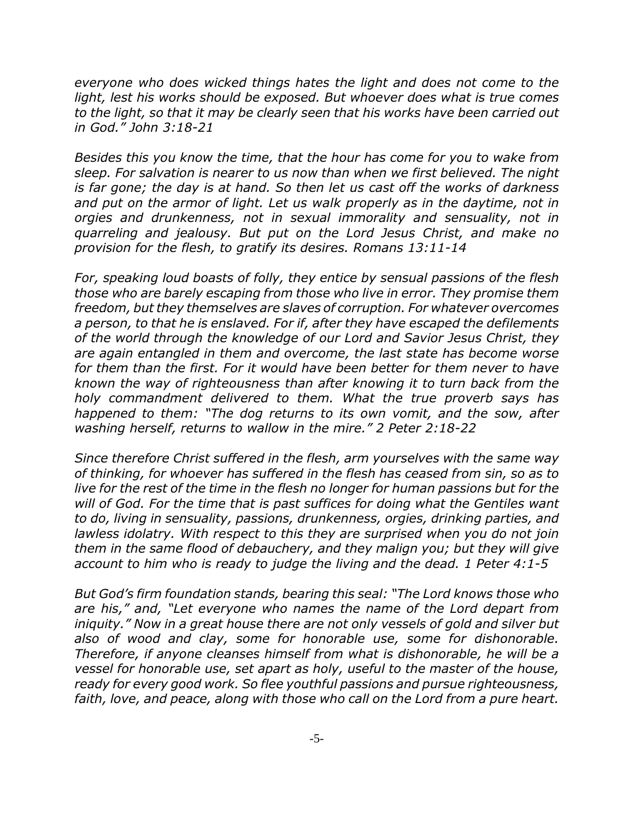*everyone who does wicked things hates the light and does not come to the light, lest his works should be exposed. But whoever does what is true comes to the light, so that it may be clearly seen that his works have been carried out in God." John 3:18-21*

*Besides this you know the time, that the hour has come for you to wake from sleep. For salvation is nearer to us now than when we first believed. The night is far gone; the day is at hand. So then let us cast off the works of darkness and put on the armor of light. Let us walk properly as in the daytime, not in orgies and drunkenness, not in sexual immorality and sensuality, not in quarreling and jealousy. But put on the Lord Jesus Christ, and make no provision for the flesh, to gratify its desires. Romans 13:11-14*

*For, speaking loud boasts of folly, they entice by sensual passions of the flesh those who are barely escaping from those who live in error. They promise them freedom, but they themselves are slaves of corruption. For whatever overcomes a person, to that he is enslaved. For if, after they have escaped the defilements of the world through the knowledge of our Lord and Savior Jesus Christ, they are again entangled in them and overcome, the last state has become worse for them than the first. For it would have been better for them never to have known the way of righteousness than after knowing it to turn back from the holy commandment delivered to them. What the true proverb says has happened to them: "The dog returns to its own vomit, and the sow, after washing herself, returns to wallow in the mire." 2 Peter 2:18-22*

*Since therefore Christ suffered in the flesh, arm yourselves with the same way of thinking, for whoever has suffered in the flesh has ceased from sin, so as to live for the rest of the time in the flesh no longer for human passions but for the will of God. For the time that is past suffices for doing what the Gentiles want to do, living in sensuality, passions, drunkenness, orgies, drinking parties, and lawless idolatry. With respect to this they are surprised when you do not join them in the same flood of debauchery, and they malign you; but they will give account to him who is ready to judge the living and the dead. 1 Peter 4:1-5*

*But God's firm foundation stands, bearing this seal: "The Lord knows those who are his," and, "Let everyone who names the name of the Lord depart from iniquity." Now in a great house there are not only vessels of gold and silver but also of wood and clay, some for honorable use, some for dishonorable. Therefore, if anyone cleanses himself from what is dishonorable, he will be a vessel for honorable use, set apart as holy, useful to the master of the house, ready for every good work. So flee youthful passions and pursue righteousness, faith, love, and peace, along with those who call on the Lord from a pure heart.*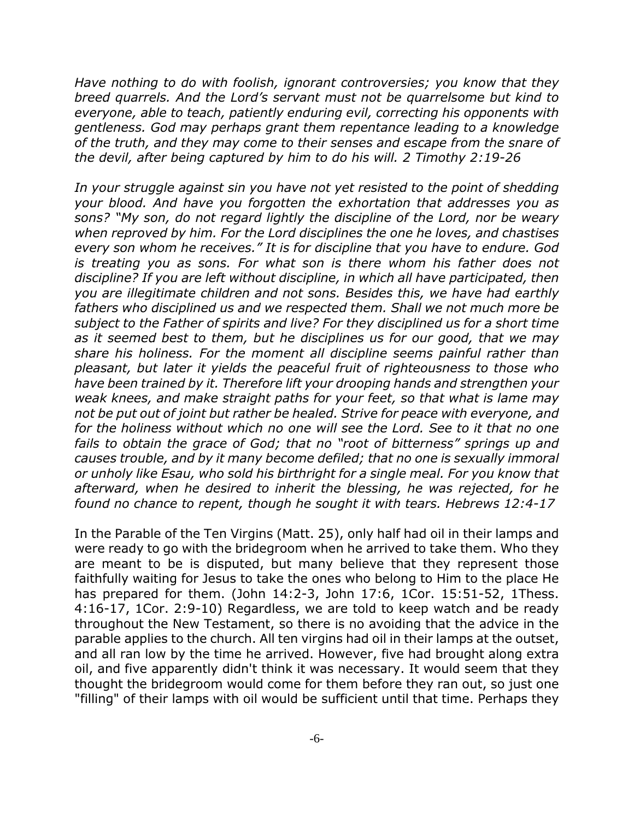*Have nothing to do with foolish, ignorant controversies; you know that they breed quarrels. And the Lord's servant must not be quarrelsome but kind to everyone, able to teach, patiently enduring evil, correcting his opponents with gentleness. God may perhaps grant them repentance leading to a knowledge of the truth, and they may come to their senses and escape from the snare of the devil, after being captured by him to do his will. 2 Timothy 2:19-26*

*In your struggle against sin you have not yet resisted to the point of shedding your blood. And have you forgotten the exhortation that addresses you as sons? "My son, do not regard lightly the discipline of the Lord, nor be weary when reproved by him. For the Lord disciplines the one he loves, and chastises every son whom he receives." It is for discipline that you have to endure. God is treating you as sons. For what son is there whom his father does not discipline? If you are left without discipline, in which all have participated, then you are illegitimate children and not sons. Besides this, we have had earthly fathers who disciplined us and we respected them. Shall we not much more be subject to the Father of spirits and live? For they disciplined us for a short time as it seemed best to them, but he disciplines us for our good, that we may share his holiness. For the moment all discipline seems painful rather than pleasant, but later it yields the peaceful fruit of righteousness to those who have been trained by it. Therefore lift your drooping hands and strengthen your weak knees, and make straight paths for your feet, so that what is lame may not be put out of joint but rather be healed. Strive for peace with everyone, and for the holiness without which no one will see the Lord. See to it that no one fails to obtain the grace of God; that no "root of bitterness" springs up and causes trouble, and by it many become defiled; that no one is sexually immoral or unholy like Esau, who sold his birthright for a single meal. For you know that afterward, when he desired to inherit the blessing, he was rejected, for he found no chance to repent, though he sought it with tears. Hebrews 12:4-17*

In the Parable of the Ten Virgins (Matt. 25), only half had oil in their lamps and were ready to go with the bridegroom when he arrived to take them. Who they are meant to be is disputed, but many believe that they represent those faithfully waiting for Jesus to take the ones who belong to Him to the place He has prepared for them. (John 14:2-3, John 17:6, 1Cor. 15:51-52, 1Thess. 4:16-17, 1Cor. 2:9-10) Regardless, we are told to keep watch and be ready throughout the New Testament, so there is no avoiding that the advice in the parable applies to the church. All ten virgins had oil in their lamps at the outset, and all ran low by the time he arrived. However, five had brought along extra oil, and five apparently didn't think it was necessary. It would seem that they thought the bridegroom would come for them before they ran out, so just one "filling" of their lamps with oil would be sufficient until that time. Perhaps they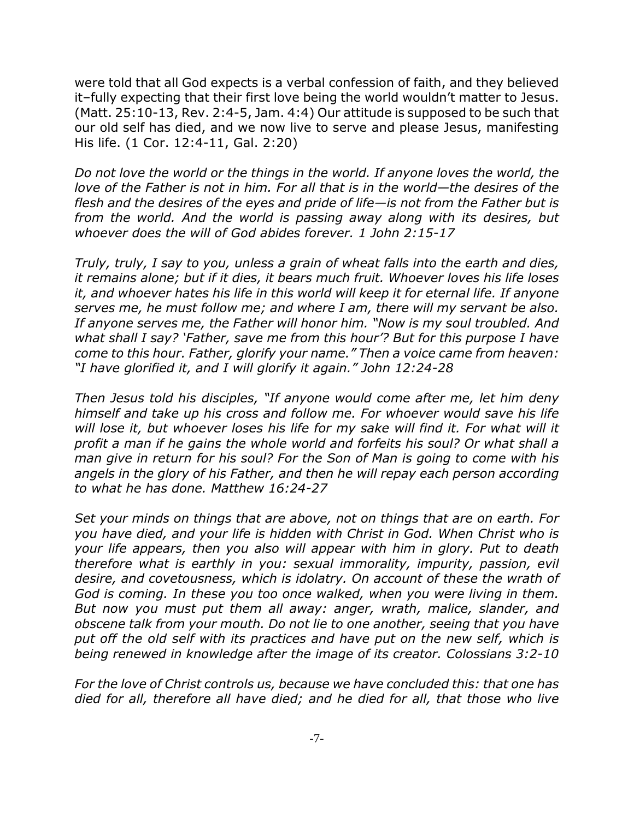were told that all God expects is a verbal confession of faith, and they believed it–fully expecting that their first love being the world wouldn't matter to Jesus. (Matt. 25:10-13, Rev. 2:4-5, Jam. 4:4) Our attitude is supposed to be such that our old self has died, and we now live to serve and please Jesus, manifesting His life. (1 Cor. 12:4-11, Gal. 2:20)

*Do not love the world or the things in the world. If anyone loves the world, the love of the Father is not in him. For all that is in the world—the desires of the flesh and the desires of the eyes and pride of life—is not from the Father but is from the world. And the world is passing away along with its desires, but whoever does the will of God abides forever. 1 John 2:15-17*

*Truly, truly, I say to you, unless a grain of wheat falls into the earth and dies, it remains alone; but if it dies, it bears much fruit. Whoever loves his life loses it, and whoever hates his life in this world will keep it for eternal life. If anyone serves me, he must follow me; and where I am, there will my servant be also. If anyone serves me, the Father will honor him. "Now is my soul troubled. And what shall I say? 'Father, save me from this hour'? But for this purpose I have come to this hour. Father, glorify your name." Then a voice came from heaven: "I have glorified it, and I will glorify it again." John 12:24-28*

*Then Jesus told his disciples, "If anyone would come after me, let him deny himself and take up his cross and follow me. For whoever would save his life will lose it, but whoever loses his life for my sake will find it. For what will it profit a man if he gains the whole world and forfeits his soul? Or what shall a man give in return for his soul? For the Son of Man is going to come with his angels in the glory of his Father, and then he will repay each person according to what he has done. Matthew 16:24-27*

*Set your minds on things that are above, not on things that are on earth. For you have died, and your life is hidden with Christ in God. When Christ who is your life appears, then you also will appear with him in glory. Put to death therefore what is earthly in you: sexual immorality, impurity, passion, evil desire, and covetousness, which is idolatry. On account of these the wrath of God is coming. In these you too once walked, when you were living in them. But now you must put them all away: anger, wrath, malice, slander, and obscene talk from your mouth. Do not lie to one another, seeing that you have put off the old self with its practices and have put on the new self, which is being renewed in knowledge after the image of its creator. Colossians 3:2-10*

*For the love of Christ controls us, because we have concluded this: that one has died for all, therefore all have died; and he died for all, that those who live*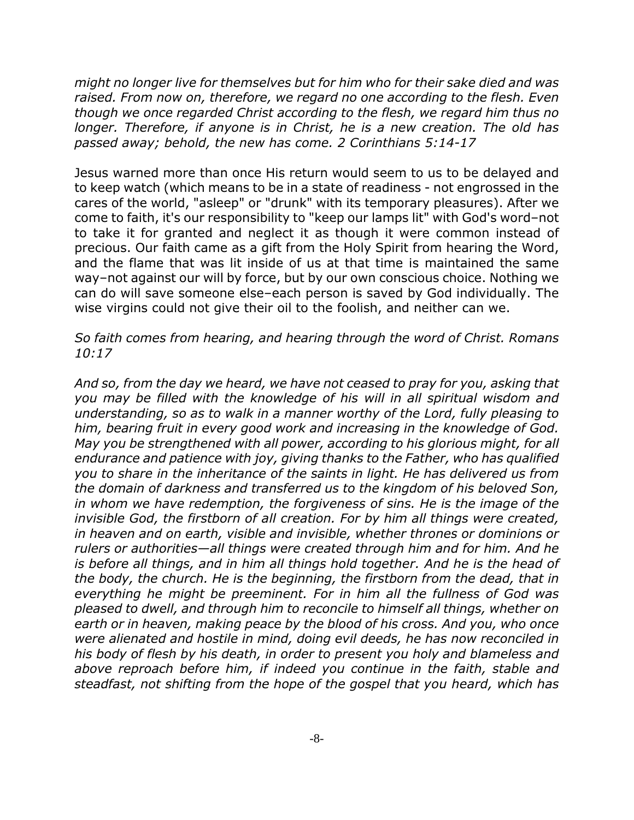*might no longer live for themselves but for him who for their sake died and was raised. From now on, therefore, we regard no one according to the flesh. Even though we once regarded Christ according to the flesh, we regard him thus no longer. Therefore, if anyone is in Christ, he is a new creation. The old has passed away; behold, the new has come. 2 Corinthians 5:14-17*

Jesus warned more than once His return would seem to us to be delayed and to keep watch (which means to be in a state of readiness - not engrossed in the cares of the world, "asleep" or "drunk" with its temporary pleasures). After we come to faith, it's our responsibility to "keep our lamps lit" with God's word–not to take it for granted and neglect it as though it were common instead of precious. Our faith came as a gift from the Holy Spirit from hearing the Word, and the flame that was lit inside of us at that time is maintained the same way–not against our will by force, but by our own conscious choice. Nothing we can do will save someone else–each person is saved by God individually. The wise virgins could not give their oil to the foolish, and neither can we.

## *So faith comes from hearing, and hearing through the word of Christ. Romans 10:17*

*And so, from the day we heard, we have not ceased to pray for you, asking that you may be filled with the knowledge of his will in all spiritual wisdom and understanding, so as to walk in a manner worthy of the Lord, fully pleasing to him, bearing fruit in every good work and increasing in the knowledge of God. May you be strengthened with all power, according to his glorious might, for all endurance and patience with joy, giving thanks to the Father, who has qualified you to share in the inheritance of the saints in light. He has delivered us from the domain of darkness and transferred us to the kingdom of his beloved Son, in whom we have redemption, the forgiveness of sins. He is the image of the invisible God, the firstborn of all creation. For by him all things were created, in heaven and on earth, visible and invisible, whether thrones or dominions or rulers or authorities—all things were created through him and for him. And he is before all things, and in him all things hold together. And he is the head of the body, the church. He is the beginning, the firstborn from the dead, that in everything he might be preeminent. For in him all the fullness of God was pleased to dwell, and through him to reconcile to himself all things, whether on earth or in heaven, making peace by the blood of his cross. And you, who once were alienated and hostile in mind, doing evil deeds, he has now reconciled in his body of flesh by his death, in order to present you holy and blameless and above reproach before him, if indeed you continue in the faith, stable and steadfast, not shifting from the hope of the gospel that you heard, which has*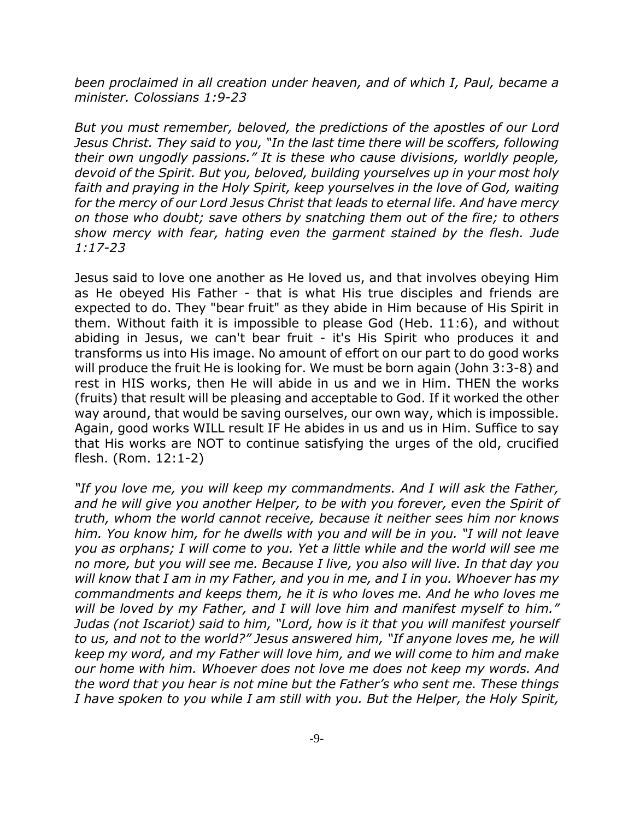*been proclaimed in all creation under heaven, and of which I, Paul, became a minister. Colossians 1:9-23*

*But you must remember, beloved, the predictions of the apostles of our Lord Jesus Christ. They said to you, "In the last time there will be scoffers, following their own ungodly passions." It is these who cause divisions, worldly people, devoid of the Spirit. But you, beloved, building yourselves up in your most holy faith and praying in the Holy Spirit, keep yourselves in the love of God, waiting for the mercy of our Lord Jesus Christ that leads to eternal life. And have mercy on those who doubt; save others by snatching them out of the fire; to others show mercy with fear, hating even the garment stained by the flesh. Jude 1:17-23*

Jesus said to love one another as He loved us, and that involves obeying Him as He obeyed His Father - that is what His true disciples and friends are expected to do. They "bear fruit" as they abide in Him because of His Spirit in them. Without faith it is impossible to please God (Heb. 11:6), and without abiding in Jesus, we can't bear fruit - it's His Spirit who produces it and transforms us into His image. No amount of effort on our part to do good works will produce the fruit He is looking for. We must be born again (John 3:3-8) and rest in HIS works, then He will abide in us and we in Him. THEN the works (fruits) that result will be pleasing and acceptable to God. If it worked the other way around, that would be saving ourselves, our own way, which is impossible. Again, good works WILL result IF He abides in us and us in Him. Suffice to say that His works are NOT to continue satisfying the urges of the old, crucified flesh. (Rom. 12:1-2)

*"If you love me, you will keep my commandments. And I will ask the Father, and he will give you another Helper, to be with you forever, even the Spirit of truth, whom the world cannot receive, because it neither sees him nor knows him. You know him, for he dwells with you and will be in you. "I will not leave you as orphans; I will come to you. Yet a little while and the world will see me no more, but you will see me. Because I live, you also will live. In that day you will know that I am in my Father, and you in me, and I in you. Whoever has my commandments and keeps them, he it is who loves me. And he who loves me will be loved by my Father, and I will love him and manifest myself to him." Judas (not Iscariot) said to him, "Lord, how is it that you will manifest yourself to us, and not to the world?" Jesus answered him, "If anyone loves me, he will keep my word, and my Father will love him, and we will come to him and make our home with him. Whoever does not love me does not keep my words. And the word that you hear is not mine but the Father's who sent me. These things I have spoken to you while I am still with you. But the Helper, the Holy Spirit,*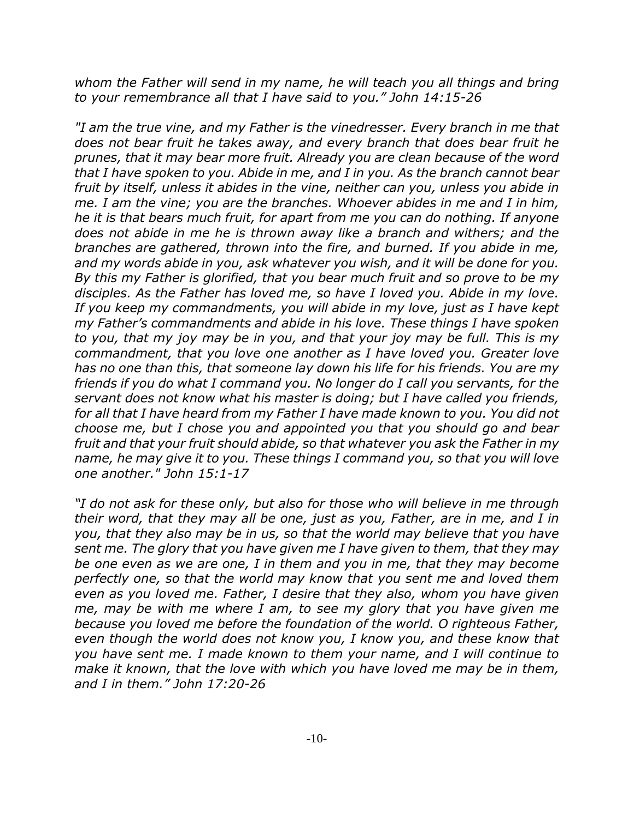*whom the Father will send in my name, he will teach you all things and bring to your remembrance all that I have said to you." John 14:15-26*

*"I am the true vine, and my Father is the vinedresser. Every branch in me that does not bear fruit he takes away, and every branch that does bear fruit he prunes, that it may bear more fruit. Already you are clean because of the word that I have spoken to you. Abide in me, and I in you. As the branch cannot bear fruit by itself, unless it abides in the vine, neither can you, unless you abide in me. I am the vine; you are the branches. Whoever abides in me and I in him, he it is that bears much fruit, for apart from me you can do nothing. If anyone does not abide in me he is thrown away like a branch and withers; and the branches are gathered, thrown into the fire, and burned. If you abide in me, and my words abide in you, ask whatever you wish, and it will be done for you. By this my Father is glorified, that you bear much fruit and so prove to be my disciples. As the Father has loved me, so have I loved you. Abide in my love. If you keep my commandments, you will abide in my love, just as I have kept my Father's commandments and abide in his love. These things I have spoken to you, that my joy may be in you, and that your joy may be full. This is my commandment, that you love one another as I have loved you. Greater love has no one than this, that someone lay down his life for his friends. You are my friends if you do what I command you. No longer do I call you servants, for the servant does not know what his master is doing; but I have called you friends, for all that I have heard from my Father I have made known to you. You did not choose me, but I chose you and appointed you that you should go and bear fruit and that your fruit should abide, so that whatever you ask the Father in my name, he may give it to you. These things I command you, so that you will love one another." John 15:1-17*

*"I do not ask for these only, but also for those who will believe in me through their word, that they may all be one, just as you, Father, are in me, and I in you, that they also may be in us, so that the world may believe that you have sent me. The glory that you have given me I have given to them, that they may be one even as we are one, I in them and you in me, that they may become perfectly one, so that the world may know that you sent me and loved them even as you loved me. Father, I desire that they also, whom you have given me, may be with me where I am, to see my glory that you have given me because you loved me before the foundation of the world. O righteous Father, even though the world does not know you, I know you, and these know that you have sent me. I made known to them your name, and I will continue to make it known, that the love with which you have loved me may be in them, and I in them." John 17:20-26*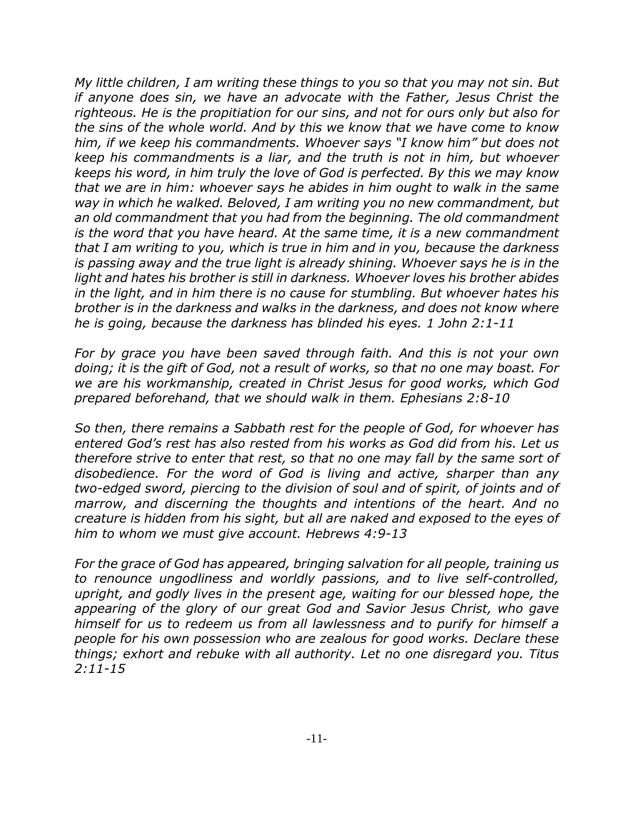*My little children, I am writing these things to you so that you may not sin. But if anyone does sin, we have an advocate with the Father, Jesus Christ the righteous. He is the propitiation for our sins, and not for ours only but also for the sins of the whole world. And by this we know that we have come to know him, if we keep his commandments. Whoever says "I know him" but does not keep his commandments is a liar, and the truth is not in him, but whoever keeps his word, in him truly the love of God is perfected. By this we may know that we are in him: whoever says he abides in him ought to walk in the same way in which he walked. Beloved, I am writing you no new commandment, but an old commandment that you had from the beginning. The old commandment is the word that you have heard. At the same time, it is a new commandment that I am writing to you, which is true in him and in you, because the darkness is passing away and the true light is already shining. Whoever says he is in the light and hates his brother is still in darkness. Whoever loves his brother abides in the light, and in him there is no cause for stumbling. But whoever hates his brother is in the darkness and walks in the darkness, and does not know where he is going, because the darkness has blinded his eyes. 1 John 2:1-11*

*For by grace you have been saved through faith. And this is not your own doing; it is the gift of God, not a result of works, so that no one may boast. For we are his workmanship, created in Christ Jesus for good works, which God prepared beforehand, that we should walk in them. Ephesians 2:8-10*

*So then, there remains a Sabbath rest for the people of God, for whoever has entered God's rest has also rested from his works as God did from his. Let us therefore strive to enter that rest, so that no one may fall by the same sort of disobedience. For the word of God is living and active, sharper than any two-edged sword, piercing to the division of soul and of spirit, of joints and of marrow, and discerning the thoughts and intentions of the heart. And no creature is hidden from his sight, but all are naked and exposed to the eyes of him to whom we must give account. Hebrews 4:9-13*

*For the grace of God has appeared, bringing salvation for all people, training us to renounce ungodliness and worldly passions, and to live self-controlled, upright, and godly lives in the present age, waiting for our blessed hope, the appearing of the glory of our great God and Savior Jesus Christ, who gave himself for us to redeem us from all lawlessness and to purify for himself a people for his own possession who are zealous for good works. Declare these things; exhort and rebuke with all authority. Let no one disregard you. Titus 2:11-15*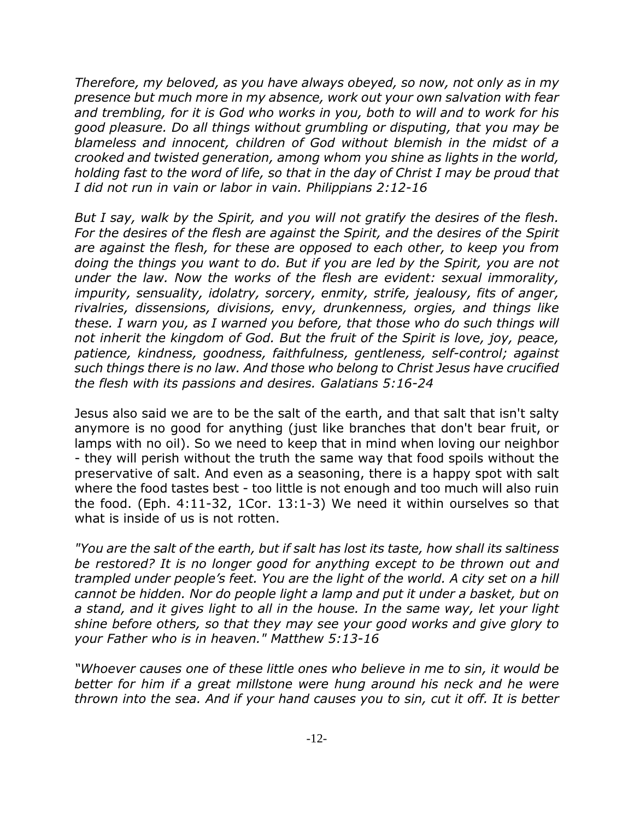*Therefore, my beloved, as you have always obeyed, so now, not only as in my presence but much more in my absence, work out your own salvation with fear and trembling, for it is God who works in you, both to will and to work for his good pleasure. Do all things without grumbling or disputing, that you may be blameless and innocent, children of God without blemish in the midst of a crooked and twisted generation, among whom you shine as lights in the world, holding fast to the word of life, so that in the day of Christ I may be proud that I did not run in vain or labor in vain. Philippians 2:12-16*

*But I say, walk by the Spirit, and you will not gratify the desires of the flesh. For the desires of the flesh are against the Spirit, and the desires of the Spirit are against the flesh, for these are opposed to each other, to keep you from doing the things you want to do. But if you are led by the Spirit, you are not under the law. Now the works of the flesh are evident: sexual immorality, impurity, sensuality, idolatry, sorcery, enmity, strife, jealousy, fits of anger, rivalries, dissensions, divisions, envy, drunkenness, orgies, and things like these. I warn you, as I warned you before, that those who do such things will not inherit the kingdom of God. But the fruit of the Spirit is love, joy, peace, patience, kindness, goodness, faithfulness, gentleness, self-control; against such things there is no law. And those who belong to Christ Jesus have crucified the flesh with its passions and desires. Galatians 5:16-24*

Jesus also said we are to be the salt of the earth, and that salt that isn't salty anymore is no good for anything (just like branches that don't bear fruit, or lamps with no oil). So we need to keep that in mind when loving our neighbor - they will perish without the truth the same way that food spoils without the preservative of salt. And even as a seasoning, there is a happy spot with salt where the food tastes best - too little is not enough and too much will also ruin the food. (Eph. 4:11-32, 1Cor. 13:1-3) We need it within ourselves so that what is inside of us is not rotten.

*"You are the salt of the earth, but if salt has lost its taste, how shall its saltiness be restored? It is no longer good for anything except to be thrown out and trampled under people's feet. You are the light of the world. A city set on a hill cannot be hidden. Nor do people light a lamp and put it under a basket, but on a stand, and it gives light to all in the house. In the same way, let your light shine before others, so that they may see your good works and give glory to your Father who is in heaven." Matthew 5:13-16*

*"Whoever causes one of these little ones who believe in me to sin, it would be better for him if a great millstone were hung around his neck and he were thrown into the sea. And if your hand causes you to sin, cut it off. It is better*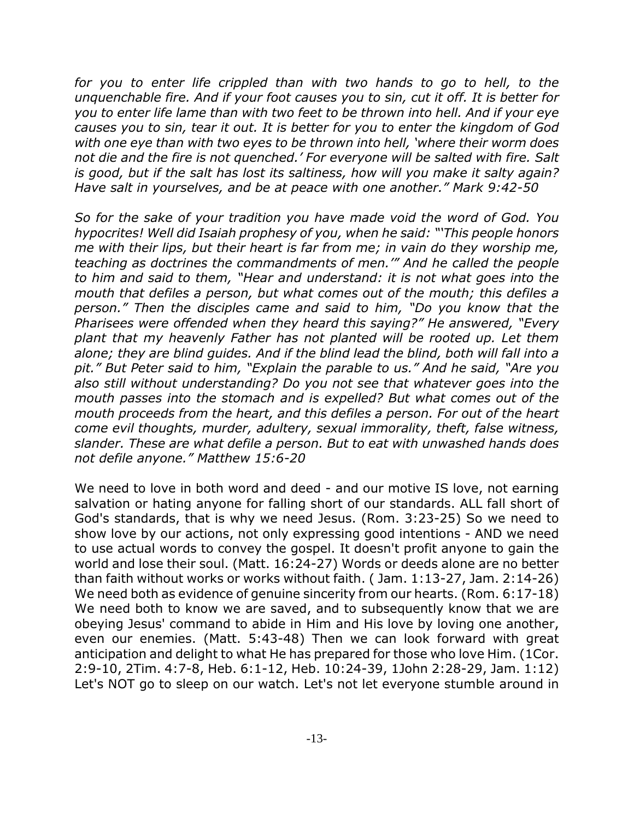*for you to enter life crippled than with two hands to go to hell, to the unquenchable fire. And if your foot causes you to sin, cut it off. It is better for you to enter life lame than with two feet to be thrown into hell. And if your eye causes you to sin, tear it out. It is better for you to enter the kingdom of God with one eye than with two eyes to be thrown into hell, 'where their worm does not die and the fire is not quenched.' For everyone will be salted with fire. Salt is good, but if the salt has lost its saltiness, how will you make it salty again? Have salt in yourselves, and be at peace with one another." Mark 9:42-50*

*So for the sake of your tradition you have made void the word of God. You hypocrites! Well did Isaiah prophesy of you, when he said: "'This people honors me with their lips, but their heart is far from me; in vain do they worship me, teaching as doctrines the commandments of men.'" And he called the people to him and said to them, "Hear and understand: it is not what goes into the mouth that defiles a person, but what comes out of the mouth; this defiles a person." Then the disciples came and said to him, "Do you know that the Pharisees were offended when they heard this saying?" He answered, "Every plant that my heavenly Father has not planted will be rooted up. Let them alone; they are blind guides. And if the blind lead the blind, both will fall into a pit." But Peter said to him, "Explain the parable to us." And he said, "Are you also still without understanding? Do you not see that whatever goes into the mouth passes into the stomach and is expelled? But what comes out of the mouth proceeds from the heart, and this defiles a person. For out of the heart come evil thoughts, murder, adultery, sexual immorality, theft, false witness, slander. These are what defile a person. But to eat with unwashed hands does not defile anyone." Matthew 15:6-20*

We need to love in both word and deed - and our motive IS love, not earning salvation or hating anyone for falling short of our standards. ALL fall short of God's standards, that is why we need Jesus. (Rom. 3:23-25) So we need to show love by our actions, not only expressing good intentions - AND we need to use actual words to convey the gospel. It doesn't profit anyone to gain the world and lose their soul. (Matt. 16:24-27) Words or deeds alone are no better than faith without works or works without faith. ( Jam. 1:13-27, Jam. 2:14-26) We need both as evidence of genuine sincerity from our hearts. (Rom. 6:17-18) We need both to know we are saved, and to subsequently know that we are obeying Jesus' command to abide in Him and His love by loving one another, even our enemies. (Matt. 5:43-48) Then we can look forward with great anticipation and delight to what He has prepared for those who love Him. (1Cor. 2:9-10, 2Tim. 4:7-8, Heb. 6:1-12, Heb. 10:24-39, 1John 2:28-29, Jam. 1:12) Let's NOT go to sleep on our watch. Let's not let everyone stumble around in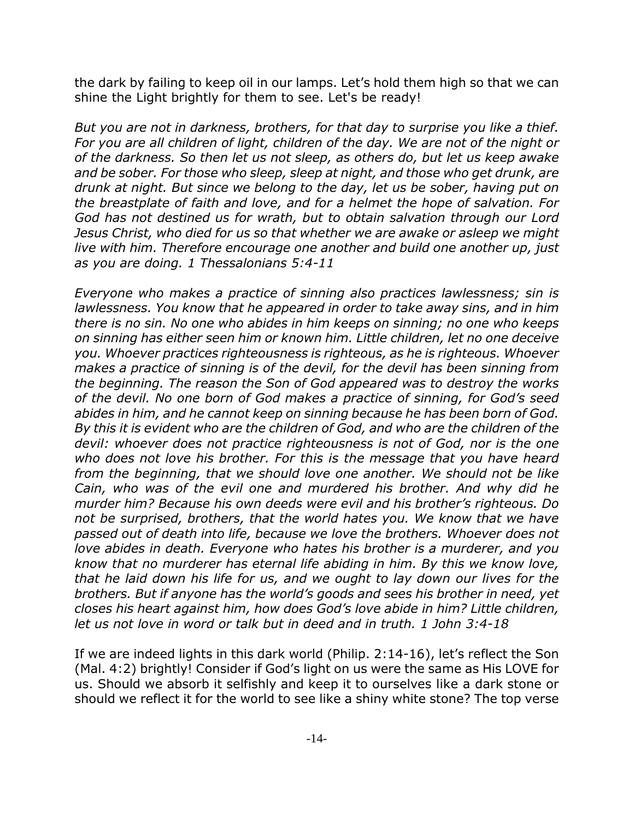the dark by failing to keep oil in our lamps. Let's hold them high so that we can shine the Light brightly for them to see. Let's be ready!

*But you are not in darkness, brothers, for that day to surprise you like a thief. For you are all children of light, children of the day. We are not of the night or of the darkness. So then let us not sleep, as others do, but let us keep awake and be sober. For those who sleep, sleep at night, and those who get drunk, are drunk at night. But since we belong to the day, let us be sober, having put on the breastplate of faith and love, and for a helmet the hope of salvation. For God has not destined us for wrath, but to obtain salvation through our Lord Jesus Christ, who died for us so that whether we are awake or asleep we might live with him. Therefore encourage one another and build one another up, just as you are doing. 1 Thessalonians 5:4-11*

*Everyone who makes a practice of sinning also practices lawlessness; sin is lawlessness. You know that he appeared in order to take away sins, and in him there is no sin. No one who abides in him keeps on sinning; no one who keeps on sinning has either seen him or known him. Little children, let no one deceive you. Whoever practices righteousness is righteous, as he is righteous. Whoever makes a practice of sinning is of the devil, for the devil has been sinning from the beginning. The reason the Son of God appeared was to destroy the works of the devil. No one born of God makes a practice of sinning, for God's seed abides in him, and he cannot keep on sinning because he has been born of God. By this it is evident who are the children of God, and who are the children of the devil: whoever does not practice righteousness is not of God, nor is the one who does not love his brother. For this is the message that you have heard from the beginning, that we should love one another. We should not be like Cain, who was of the evil one and murdered his brother. And why did he murder him? Because his own deeds were evil and his brother's righteous. Do not be surprised, brothers, that the world hates you. We know that we have passed out of death into life, because we love the brothers. Whoever does not love abides in death. Everyone who hates his brother is a murderer, and you know that no murderer has eternal life abiding in him. By this we know love, that he laid down his life for us, and we ought to lay down our lives for the brothers. But if anyone has the world's goods and sees his brother in need, yet closes his heart against him, how does God's love abide in him? Little children, let us not love in word or talk but in deed and in truth. 1 John 3:4-18*

If we are indeed lights in this dark world (Philip. 2:14-16), let's reflect the Son (Mal. 4:2) brightly! Consider if God's light on us were the same as His LOVE for us. Should we absorb it selfishly and keep it to ourselves like a dark stone or should we reflect it for the world to see like a shiny white stone? The top verse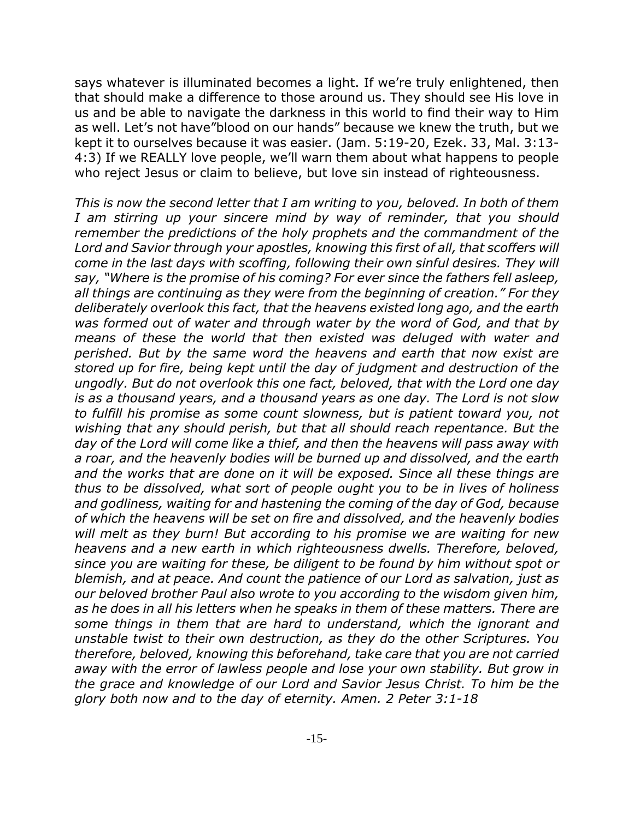says whatever is illuminated becomes a light. If we're truly enlightened, then that should make a difference to those around us. They should see His love in us and be able to navigate the darkness in this world to find their way to Him as well. Let's not have"blood on our hands" because we knew the truth, but we kept it to ourselves because it was easier. (Jam. 5:19-20, Ezek. 33, Mal. 3:13- 4:3) If we REALLY love people, we'll warn them about what happens to people who reject Jesus or claim to believe, but love sin instead of righteousness.

*This is now the second letter that I am writing to you, beloved. In both of them I am stirring up your sincere mind by way of reminder, that you should remember the predictions of the holy prophets and the commandment of the Lord and Savior through your apostles, knowing this first of all, that scoffers will come in the last days with scoffing, following their own sinful desires. They will say, "Where is the promise of his coming? For ever since the fathers fell asleep, all things are continuing as they were from the beginning of creation." For they deliberately overlook this fact, that the heavens existed long ago, and the earth was formed out of water and through water by the word of God, and that by means of these the world that then existed was deluged with water and perished. But by the same word the heavens and earth that now exist are stored up for fire, being kept until the day of judgment and destruction of the ungodly. But do not overlook this one fact, beloved, that with the Lord one day is as a thousand years, and a thousand years as one day. The Lord is not slow to fulfill his promise as some count slowness, but is patient toward you, not wishing that any should perish, but that all should reach repentance. But the day of the Lord will come like a thief, and then the heavens will pass away with a roar, and the heavenly bodies will be burned up and dissolved, and the earth and the works that are done on it will be exposed. Since all these things are thus to be dissolved, what sort of people ought you to be in lives of holiness and godliness, waiting for and hastening the coming of the day of God, because of which the heavens will be set on fire and dissolved, and the heavenly bodies will melt as they burn! But according to his promise we are waiting for new heavens and a new earth in which righteousness dwells. Therefore, beloved, since you are waiting for these, be diligent to be found by him without spot or blemish, and at peace. And count the patience of our Lord as salvation, just as our beloved brother Paul also wrote to you according to the wisdom given him, as he does in all his letters when he speaks in them of these matters. There are some things in them that are hard to understand, which the ignorant and unstable twist to their own destruction, as they do the other Scriptures. You therefore, beloved, knowing this beforehand, take care that you are not carried away with the error of lawless people and lose your own stability. But grow in the grace and knowledge of our Lord and Savior Jesus Christ. To him be the glory both now and to the day of eternity. Amen. 2 Peter 3:1-18*